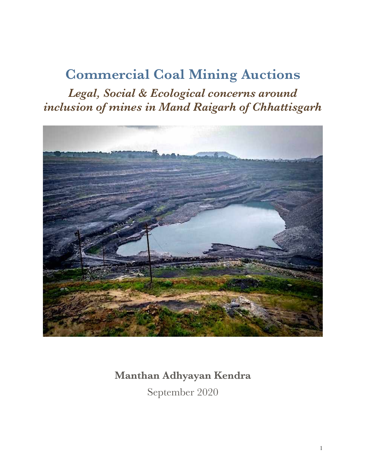# **Commercial Coal Mining Auctions**

*Legal, Social & Ecological concerns around inclusion of mines in Mand Raigarh of Chhattisgarh*



# **Manthan Adhyayan Kendra**

September 2020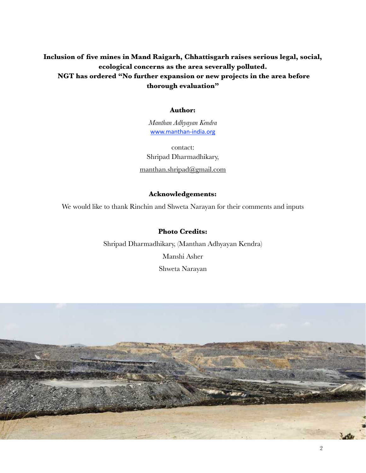**Inclusion of five mines in Mand Raigarh, Chhattisgarh raises serious legal, social, ecological concerns as the area severally polluted. NGT has ordered "No further expansion or new projects in the area before thorough evaluation"** 

#### **Author:**

*Manthan Adhyayan Kendra*  [www.manthan-india.org](http://www.manthan-india.org) 

contact: Shripad Dharmadhikary, [manthan.shripad@gmail.com](mailto:manthan.shripad@gmail.com) 

#### **Acknowledgements:**

We would like to thank Rinchin and Shweta Narayan for their comments and inputs

#### **Photo Credits:**

Shripad Dharmadhikary, (Manthan Adhyayan Kendra) Manshi Asher Shweta Narayan

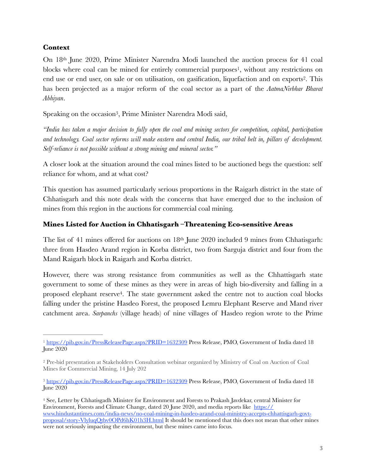# **Context**

<span id="page-2-5"></span><span id="page-2-4"></span>On 18th June 2020, Prime Minister Narendra Modi launched the auction process for 41 coal blocks where coal can be mined for entirely commercial purposes<sup>1</sup>[,](#page-2-0) without any restrictions on end use or end user, on sale or on utilisation, on gasification, liquefaction and on exports<sup>[2](#page-2-1)</sup>. This has been projected as a major reform of the coal sector as a part of the *AatmaNirbhar Bharat Abhiyan*.

<span id="page-2-6"></span>Speaking on the occasion<sup>3</sup>[,](#page-2-2) Prime Minister Narendra Modi said,

*"India has taken a major decision to fully open the coal and mining sectors for competition, capital, participation and technology. Coal sector reforms will make eastern and central India, our tribal belt in, pillars of development. Self-reliance is not possible without a strong mining and mineral sector."* 

A closer look at the situation around the coal mines listed to be auctioned begs the question: self reliance for whom, and at what cost?

This question has assumed particularly serious proportions in the Raigarh district in the state of Chhatisgarh and this note deals with the concerns that have emerged due to the inclusion of mines from this region in the auctions for commercial coal mining.

# **Mines Listed for Auction in Chhatisgarh –Threatening Eco-sensitive Areas**

The list of 41 mines offered for auctions on 18th June 2020 included 9 mines from Chhatisgarh: three from Hasdeo Arand region in Korba district, two from Sarguja district and four from the Mand Raigarh block in Raigarh and Korba district.

<span id="page-2-7"></span>However, there was strong resistance from communities as well as the Chhattisgarh state government to some of these mines as they were in areas of high bio-diversity and falling in a proposed elephant reserve<sup>4</sup>[.](#page-2-3) The state government asked the centre not to auction coal blocks falling under the pristine Hasdeo Forest, the proposed Lemru Elephant Reserve and Mand river catchment area. *Sarpanchs* (village heads) of nine villages of Hasdeo region wrote to the Prime

<span id="page-2-0"></span><sup>&</sup>lt;sup>1</sup> <https://pib.gov.in/PressReleasePage.aspx?PRID=1632309> Press Release, PMO, Government of India dated [1](#page-2-4)8 June 2020

<span id="page-2-1"></span><sup>&</sup>lt;sup>[2](#page-2-5)</sup> Pre-bid presentation at Stakeholders Consultation webinar organized by Ministry of Coal on Auction of Coal Mines for Commercial Mining, 14 July 202

<span id="page-2-2"></span><sup>&</sup>lt;sup>3</sup> <https://pib.gov.in/PressReleasePage.aspx?PRID=1632309> Press Release, PMO, Government of India dated 18 June 2020

<span id="page-2-3"></span>See, Letter by Chhatisgadh Minister for Environment and Forests to Prakash Javdekar, central Minister for [4](#page-2-7) Environment, Forests and Climate Change, dated 20 June 2020, and media reports like [https://](https://www.hindustantimes.com/india-news/no-coal-mining-in-hasdeo-arand-coal-ministry-accepts-chhattisgarh-govt-proposal/st) [www.hindustantimes.com/india-news/no-coal-mining-in-hasdeo-arand-coal-ministry-accepts-chhattisgarh-govt](https://www.hindustantimes.com/india-news/no-coal-mining-in-hasdeo-arand-coal-ministry-accepts-chhattisgarh-govt-proposal/st)[proposal/story-VlyluqQtbv0OPd6hK01h3H.html](https://www.hindustantimes.com/india-news/no-coal-mining-in-hasdeo-arand-coal-ministry-accepts-chhattisgarh-govt-proposal/st) It should be mentioned that this does not mean that other mines were not seriously impacting the environment, but these mines came into focus.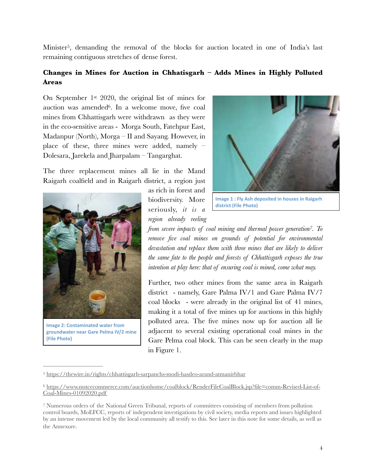<span id="page-3-3"></span>Minister<sup>5</sup>[,](#page-3-0) demanding the removal of the blocks for auction located in one of India's last remaining contiguous stretches of dense forest.

# **Changes in Mines for Auction in Chhatisgarh – Adds Mines in Highly Polluted Areas**

<span id="page-3-4"></span>On September 1st 2020, the original list of mines for auction was amended  $6$ . In a welcome move, five coal mines from Chhattisgarh were withdrawn as they were in the eco-sensitive areas - Morga South, Fatehpur East, Madanpur (North), Morga – II and Sayang. However, in place of these, three mines were added, namely – Dolesara, Jarekela and Jharpalam – Tangarghat.

The three replacement mines all lie in the Mand Raigarh coalfield and in Raigarh district, a region just



**Image 2: Contaminated water from** groundwater near Gare Pelma IV/2 mine **(File Photo)**

as rich in forest and biodiversity. More seriously, *it is a region already reeling* 



**Image 1: Fly Ash deposited in houses in Raigarh district (File Photo)**

<span id="page-3-5"></span>*from severe impacts of coal mining and thermal power generation<sup>7</sup>[.](#page-3-2) To remove five coal mines on grounds of potential for environmental devastation and replace them with three mines that are likely to deliver the same fate to the people and forests of Chhattisgarh exposes the true intention at play here: that of ensuring coal is mined, come what may.* 

Further, two other mines from the same area in Raigarh district - namely, Gare Palma IV/1 and Gare Palma IV/7 coal blocks - were already in the original list of 41 mines, making it a total of five mines up for auctions in this highly polluted area. The five mines now up for auction all lie adjacent to several existing operational coal mines in the Gare Pelma coal block. This can be seen clearly in the map in Figure 1.

<span id="page-3-0"></span><sup>&</sup>lt;sup>5</sup> <https://thewire.in/rights/chhattisgarh-sarpanchs-modi-hasdeo-arand-atmanirbhar>

<span id="page-3-1"></span>[https://www.mstcecommerce.com/auctionhome/coalblock/RenderFileCoalBlock.jsp?file=comm-Revised-List-of-](https://www.mstcecommerce.com/auctionhome/coalblock/RenderFileCoalBlock.jsp?file=comm-Revised-List-of-Coal-Mines-01092020.pdf) [6](#page-3-4) [Coal-Mines-01092020.pdf](https://www.mstcecommerce.com/auctionhome/coalblock/RenderFileCoalBlock.jsp?file=comm-Revised-List-of-Coal-Mines-01092020.pdf)

<span id="page-3-2"></span>Numerous orders of the National Green Tribunal, reports of committees consisting of members from pollution [7](#page-3-5) control boards, MoEFCC, reports of independent investigations by civil society, media reports and issues highlighted by an intense movement led by the local community all testify to this. See later in this note for some details, as well as the Annexure.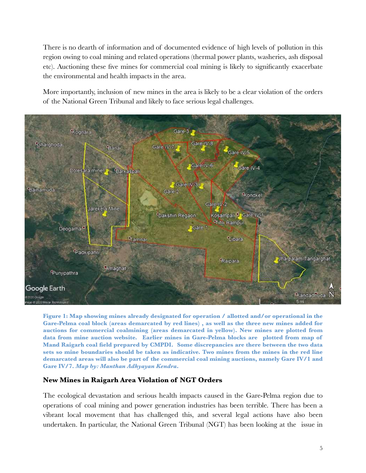There is no dearth of information and of documented evidence of high levels of pollution in this region owing to coal mining and related operations (thermal power plants, washeries, ash disposal etc). Auctioning these five mines for commercial coal mining is likely to significantly exacerbate the environmental and health impacts in the area.

More importantly, inclusion of new mines in the area is likely to be a clear violation of the orders of the National Green Tribunal and likely to face serious legal challenges.



**Figure 1: Map showing mines already designated for operation / allotted and/or operational in the Gare-Pelma coal block (areas demarcated by red lines) , as well as the three new mines added for auctions for commercial coalmining (areas demarcated in yellow). New mines are plotted from data from mine auction website. Earlier mines in Gare-Pelma blocks are plotted from map of Mand Raigarh coal field prepared by CMPDI. Some discrepancies are there between the two data sets so mine boundaries should be taken as indicative. Two mines from the mines in the red line demarcated areas will also be part of the commercial coal mining auctions, namely Gare IV/1 and Gare IV/7.** *Map by: Manthan Adhyayan Kendra***.** 

### **New Mines in Raigarh Area Violation of NGT Orders**

The ecological devastation and serious health impacts caused in the Gare-Pelma region due to operations of coal mining and power generation industries has been terrible. There has been a vibrant local movement that has challenged this, and several legal actions have also been undertaken. In particular, the National Green Tribunal (NGT) has been looking at the issue in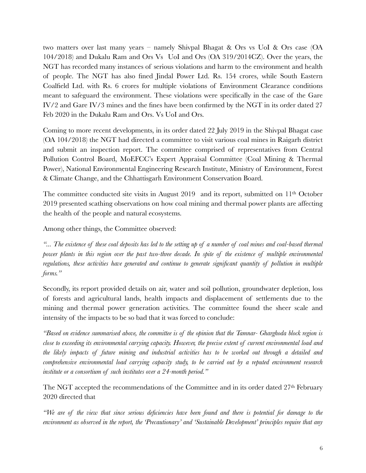two matters over last many years – namely Shivpal Bhagat & Ors vs UoI & Ors case (OA 104/2018) and Dukalu Ram and Ors Vs UoI and Ors (OA 319/2014CZ). Over the years, the NGT has recorded many instances of serious violations and harm to the environment and health of people. The NGT has also fined Jindal Power Ltd. Rs. 154 crores, while South Eastern Coalfield Ltd. with Rs. 6 crores for multiple violations of Environment Clearance conditions meant to safeguard the environment. These violations were specifically in the case of the Gare IV/2 and Gare IV/3 mines and the fines have been confirmed by the NGT in its order dated 27 Feb 2020 in the Dukalu Ram and Ors. Vs UoI and Ors.

Coming to more recent developments, in its order dated 22 July 2019 in the Shivpal Bhagat case (OA 104/2018) the NGT had directed a committee to visit various coal mines in Raigarh district and submit an inspection report. The committee comprised of representatives from Central Pollution Control Board, MoEFCC's Expert Appraisal Committee (Coal Mining & Thermal Power), National Environmental Engineering Research Institute, Ministry of Environment, Forest & Climate Change, and the Chhattisgarh Environment Conservation Board.

The committee conducted site visits in August 2019 and its report, submitted on 11<sup>th</sup> October 2019 presented scathing observations on how coal mining and thermal power plants are affecting the health of the people and natural ecosystems.

Among other things, the Committee observed:

*"... The existence of these coal deposits has led to the setting up of a number of coal mines and coal-based thermal power plants in this region over the past two-three decade. In spite of the existence of multiple environmental regulations, these activities have generated and continue to generate significant quantity of pollution in multiple forms."* 

Secondly, its report provided details on air, water and soil pollution, groundwater depletion, loss of forests and agricultural lands, health impacts and displacement of settlements due to the mining and thermal power generation activities. The committee found the sheer scale and intensity of the impacts to be so bad that it was forced to conclude:

*"Based on evidence summarised above, the committee is of the opinion that the Tamnar- Gharghoda block region is close to exceeding its environmental carrying capacity. However, the precise extent of current environmental load and the likely impacts of future mining and industrial activities has to be worked out through a detailed and comprehensive environmental load carrying capacity study, to be carried out by a reputed environment research institute or a consortium of such institutes over a 24-month period."*

The NGT accepted the recommendations of the Committee and in its order dated 27<sup>th</sup> February 2020 directed that

*"We are of the view that since serious deficiencies have been found and there is potential for damage to the environment as observed in the report, the 'Precautionary' and 'Sustainable Development' principles require that any*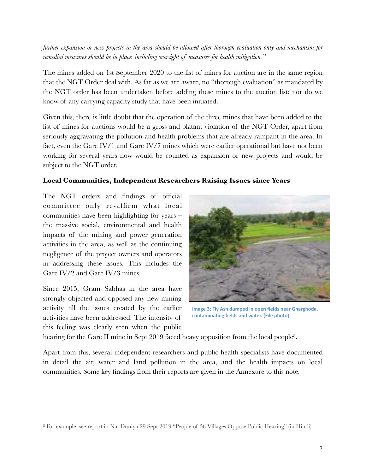*further expansion or new projects in the area should be allowed after thorough evaluation only and mechanism for remedial measures should be in place, including oversight of measures for health mitigation."*

The mines added on 1st September 2020 to the list of mines for auction are in the same region that the NGT Order deal with. As far as we are aware, no "thorough evaluation" as mandated by the NGT order has been undertaken before adding these mines to the auction list; nor do we know of any carrying capacity study that have been initiated.

Given this, there is little doubt that the operation of the three mines that have been added to the list of mines for auctions would be a gross and blatant violation of the NGT Order, apart from seriously aggravating the pollution and health problems that are already rampant in the area. In fact, even the Gare IV/1 and Gare IV/7 mines which were earlier operational but have not been working for several years now would be counted as expansion or new projects and would be subject to the NGT order.

# **Local Communities, Independent Researchers Raising Issues since Years**

The NGT orders and findings of official committee only re-affirm what local communities have been highlighting for years – the massive social, environmental and health impacts of the mining and power generation activities in the area, as well as the continuing negligence of the project owners and operators in addressing these issues. This includes the Gare IV/2 and Gare IV/3 mines.

Since 2015, Gram Sabhas in the area have strongly objected and opposed any new mining activity till the issues created by the earlier activities have been addressed. The intensity of this feeling was clearly seen when the public

<span id="page-6-1"></span>

contaminating fields and water. (File photo)

hearing for the Gare II mine in Sept 2019 faced heavy opposition from the local people<sup>8</sup>.

Apart from this, several independent researchers and public health specialists have documented in detail the air, water and land pollution in the area, and the health impacts on local communities. Some key findings from their reports are given in the Annexure to this note.

<span id="page-6-0"></span>For example, see report in Nai Duniya 29 Sept 2019 "People of 56 Villages Oppose Public Hearing" (in Hindi) [8](#page-6-1)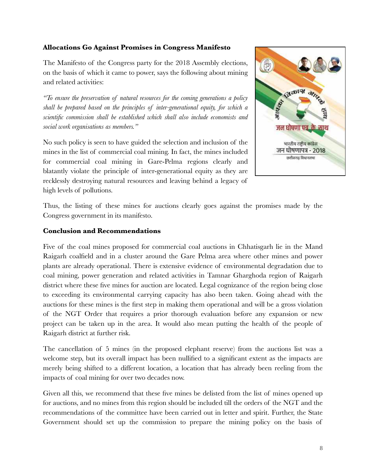# **Allocations Go Against Promises in Congress Manifesto**

The Manifesto of the Congress party for the 2018 Assembly elections, on the basis of which it came to power, says the following about mining and related activities:

*"To ensure the preservation of natural resources for the coming generations a policy shall be prepared based on the principles of inter-generational equity, for which a scientific commission shall be established which shall also include economists and social work organisations as members."* 

No such policy is seen to have guided the selection and inclusion of the mines in the list of commercial coal mining. In fact, the mines included for commercial coal mining in Gare-Pelma regions clearly and blatantly violate the principle of inter-generational equity as they are recklessly destroying natural resources and leaving behind a legacy of high levels of pollutions.



Thus, the listing of these mines for auctions clearly goes against the promises made by the Congress government in its manifesto.

#### **Conclusion and Recommendations**

Five of the coal mines proposed for commercial coal auctions in Chhatisgarh lie in the Mand Raigarh coalfield and in a cluster around the Gare Pelma area where other mines and power plants are already operational. There is extensive evidence of environmental degradation due to coal mining, power generation and related activities in Tamnar Gharghoda region of Raigarh district where these five mines for auction are located. Legal cognizance of the region being close to exceeding its environmental carrying capacity has also been taken. Going ahead with the auctions for these mines is the first step in making them operational and will be a gross violation of the NGT Order that requires a prior thorough evaluation before any expansion or new project can be taken up in the area. It would also mean putting the health of the people of Raigarh district at further risk.

The cancellation of 5 mines (in the proposed elephant reserve) from the auctions list was a welcome step, but its overall impact has been nullified to a significant extent as the impacts are merely being shifted to a different location, a location that has already been reeling from the impacts of coal mining for over two decades now.

Given all this, we recommend that these five mines be delisted from the list of mines opened up for auctions, and no mines from this region should be included till the orders of the NGT and the recommendations of the committee have been carried out in letter and spirit. Further, the State Government should set up the commission to prepare the mining policy on the basis of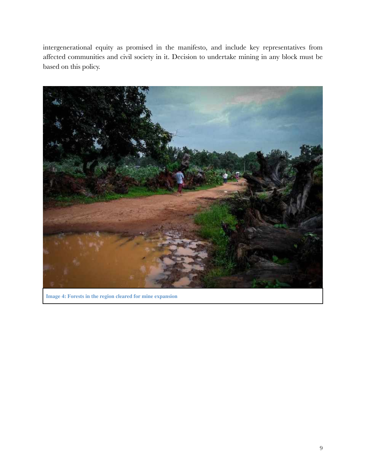intergenerational equity as promised in the manifesto, and include key representatives from affected communities and civil society in it. Decision to undertake mining in any block must be based on this policy.



**Image 4: Forests in the region cleared for mine expansion**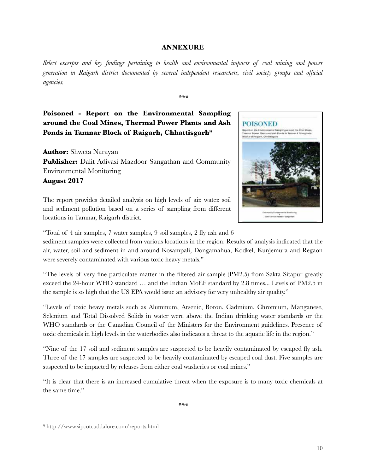#### **ANNEXURE**

*Select excerpts and key findings pertaining to health and environmental impacts of coal mining and power generation in Raigarh district documented by several independent researchers, civil society groups and official agencies.* 

*\*\*\**

# **Poisoned - Report on the Environmental Sampling around the Coal Mines, Thermal Power Plants and Ash Ponds in Tamnar Block of Raigarh, Chhattisgar[h9](#page-9-0)**

**Author:** Shweta Narayan

**Publisher:** Dalit Adivasi Mazdoor Sangathan and Community Environmental Monitoring

**August 2017**

The report provides detailed analysis on high levels of air, water, soil and sediment pollution based on a series of sampling from different locations in Tamnar, Raigarh district.

"Total of 4 air samples, 7 water samples, 9 soil samples, 2 fly ash and 6

sediment samples were collected from various locations in the region. Results of analysis indicated that the air, water, soil and sediment in and around Kosampali, Dongamahua, Kodkel, Kunjemura and Regaon were severely contaminated with various toxic heavy metals."

"The levels of very fine particulate matter in the filtered air sample (PM2.5) from Sakta Sitapur greatly exceed the 24-hour WHO standard … and the Indian MoEF standard by 2.8 times... Levels of PM2.5 in the sample is so high that the US EPA would issue an advisory for very unhealthy air quality."

"Levels of toxic heavy metals such as Aluminum, Arsenic, Boron, Cadmium, Chromium, Manganese, Selenium and Total Dissolved Solids in water were above the Indian drinking water standards or the WHO standards or the Canadian Council of the Ministers for the Environment guidelines. Presence of toxic chemicals in high levels in the waterbodies also indicates a threat to the aquatic life in the region."

"Nine of the 17 soil and sediment samples are suspected to be heavily contaminated by escaped fly ash. Three of the 17 samples are suspected to be heavily contaminated by escaped coal dust. Five samples are suspected to be impacted by releases from either coal washeries or coal mines."

"It is clear that there is an increased cumulative threat when the exposure is to many toxic chemicals at the same time."

*\*\*\**

<span id="page-9-1"></span>

<span id="page-9-0"></span><sup>&</sup>lt;sup>9</sup> [http://www.sipcotcuddalore.com/reports.html](http://www)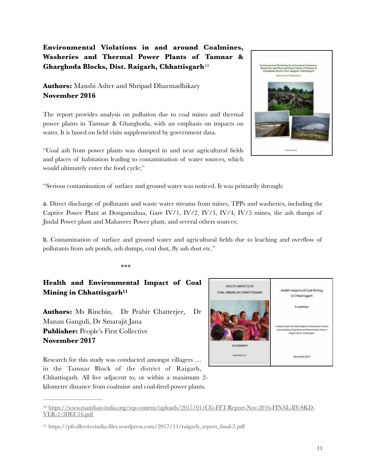# **Environmental Violations in and around Coalmines, Washeries and Thermal Power Plants of Tamnar & Gharghoda Blocks, Dist. Raigarh, Chhattisgarh** [10](#page-10-0)

**Authors:** Manshi Asher and Shripad Dharmadhikary **November 2016** 

The report provides analysis on pollution due to coal mines and thermal power plants in Tamnar & Gharghoda, with an emphasis on impacts on water. It is based on field visits supplemented by government data.

"Coal ash from power plants was dumped in and near agricultural fields and places of habitation leading to contamination of water sources, which would ultimately enter the food cycle;"

<span id="page-10-2"></span>

"Serious contamination of surface and ground water was noticed. It was primarily through:

a. Direct discharge of pollutants and waste water streams from mines, TPPs and washeries, including the Captive Power Plant at Dongamahua, Gare IV/1, IV/2, IV/3, IV/4, IV/5 mines, the ash dumps of Jindal Power plant and Mahaveer Power plant, and several others sources;

b. Contamination of surface and ground water and agricultural fields due to leaching and overflow of pollutants from ash ponds, ash dumps, coal dust, fly ash dust etc."

<span id="page-10-3"></span>*\*\*\** 

**Health and Environmental Impact of Coal Mining in Chhattisgar[h11](#page-10-1)**

**Authors:** Ms Rinchin, Dr Prabir Chatterjee, Dr Manan Ganguli, Dr Smarajit Jana **Publisher:** People's First Collective **November 2017** 

Research for this study was conducted amongst villagers … in the Tamnar Block of the district of Raigarh, Chhattisgarh. All live adjacent to, or within a maximum 2 kilometre distance from coalmine and coal-fired power plants.



<span id="page-10-0"></span><sup>&</sup>lt;sup>10</sup> [https://www.manthan-india.org/wp-content/uploads/2017/01/CG-FFT-Report-Nov-2016-FINAL-BY-SKD-](https://www.manthan-india.org/wp-content/uploads/2017/01/CG-FFT-Report-Nov-2016-FINAL-BY-SKD-VER-2-3DEC16.pdf) [VER-2-3DEC16.pdf](https://www.manthan-india.org/wp-content/uploads/2017/01/CG-FFT-Report-Nov-2016-FINAL-BY-SKD-VER-2-3DEC16.pdf)

<span id="page-10-1"></span><sup>&</sup>lt;sup>[11](#page-10-3)</sup> https://pfcollectiveindia.files.wordpress.com/2017/11/raigarh\_report\_final-2.pdf